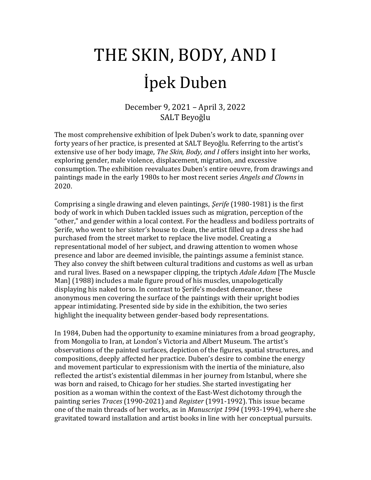# THE SKIN, BODY, AND I İpek Duben

December 9, 2021 – April 3, 2022 SALT Beyoğlu

The most comprehensive exhibition of İpek Duben's work to date, spanning over forty years of her practice, is presented at SALT Beyoğlu. Referring to the artist's extensive use of her body image, *The Skin, Body, and I* offers insight into her works, exploring gender, male violence, displacement, migration, and excessive consumption. The exhibition reevaluates Duben's entire oeuvre, from drawings and paintings made in the early 1980s to her most recent series *Angels and Clowns* in 2020.

Comprising a single drawing and eleven paintings, *Şerife* (1980-1981) is the first body of work in which Duben tackled issues such as migration, perception of the "other," and gender within a local context. For the headless and bodiless portraits of Şerife, who went to her sister's house to clean, the artist filled up a dress she had purchased from the street market to replace the live model. Creating a representational model of her subject, and drawing attention to women whose presence and labor are deemed invisible, the paintings assume a feminist stance. They also convey the shift between cultural traditions and customs as well as urban and rural lives. Based on a newspaper clipping, the triptych *Adale Adam* [The Muscle Man] (1988) includes a male figure proud of his muscles, unapologetically displaying his naked torso. In contrast to Şerife's modest demeanor, these anonymous men covering the surface of the paintings with their upright bodies appear intimidating. Presented side by side in the exhibition, the two series highlight the inequality between gender-based body representations.

In 1984, Duben had the opportunity to examine miniatures from a broad geography, from Mongolia to Iran, at London's Victoria and Albert Museum. The artist's observations of the painted surfaces, depiction of the figures, spatial structures, and compositions, deeply affected her practice. Duben's desire to combine the energy and movement particular to expressionism with the inertia of the miniature, also reflected the artist's existential dilemmas in her journey from Istanbul, where she was born and raised, to Chicago for her studies. She started investigating her position as a woman within the context of the East-West dichotomy through the painting series *Traces* (1990-2021) and *Register* (1991-1992). This issue became one of the main threads of her works, as in *Manuscript 1994* (1993-1994), where she gravitated toward installation and artist books in line with her conceptual pursuits.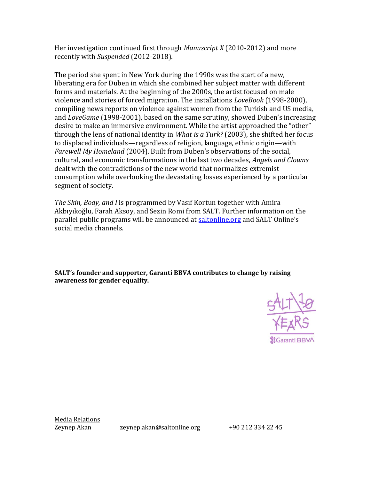Her investigation continued first through *Manuscript X* (2010-2012) and more recently with *Suspended* (2012-2018).

The period she spent in New York during the 1990s was the start of a new, liberating era for Duben in which she combined her subject matter with different forms and materials. At the beginning of the 2000s, the artist focused on male violence and stories of forced migration. The installations *LoveBook* (1998-2000), compiling news reports on violence against women from the Turkish and US media, and *LoveGame* (1998-2001), based on the same scrutiny, showed Duben's increasing desire to make an immersive environment. While the artist approached the "other" through the lens of national identity in *What is a Turk?* (2003), she shifted her focus to displaced individuals—regardless of religion, language, ethnic origin—with *Farewell My Homeland* (2004). Built from Duben's observations of the social, cultural, and economic transformations in the last two decades, *Angels and Clowns* dealt with the contradictions of the new world that normalizes extremist consumption while overlooking the devastating losses experienced by a particular segment of society.

*The Skin, Body, and I* is programmed by Vasıf Kortun together with Amira Akbıyıkoğlu, Farah Aksoy, and Sezin Romi from SALT. Further information on the parallel public programs will be announced at [saltonline.org](https://saltonline.org/en/home) and SALT Online's social media channels.

**SALT's founder and supporter, Garanti BBVA contributes to change by raising awareness for gender equality.**



Media Relations

Zeynep Akan zeynep.akan@saltonline.org +90 212 334 22 45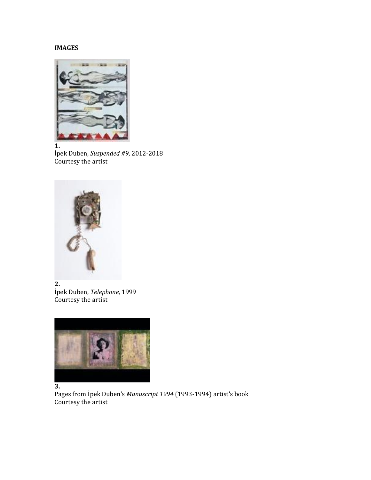### **IMAGES**



**1.**

İpek Duben, *Suspended #9*, 2012-2018 Courtesy the artist



**2.** İpek Duben, *Telephone*, 1999 Courtesy the artist



#### **3.**

Pages from İpek Duben's *Manuscript 1994* (1993-1994) artist's book Courtesy the artist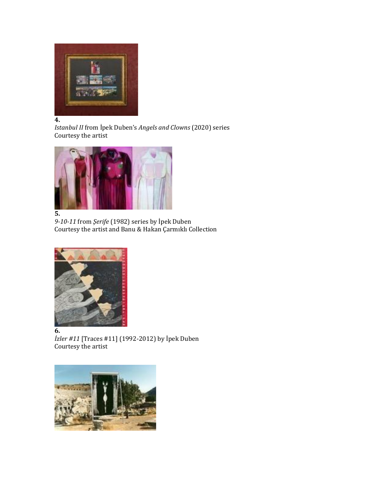

*Istanbul II* from İpek Duben's *Angels and Clowns* (2020) series Courtesy the artist



# **5.**

*9-10-11* from *Şerife* (1982) series by İpek Duben Courtesy the artist and Banu & Hakan Çarmıklı Collection



**6.**

*İzler #11* [Traces #11] (1992-2012) by İpek Duben Courtesy the artist

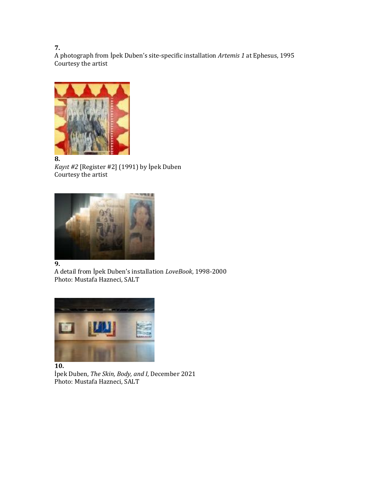A photograph from İpek Duben's site-specific installation *Artemis 1* at Ephesus, 1995 Courtesy the artist



*Kayıt #2* [Register #2] (1991) by İpek Duben Courtesy the artist



**9.**

A detail from İpek Duben's installation *LoveBook*, 1998-2000 Photo: Mustafa Hazneci, SALT



İpek Duben, *The Skin, Body, and I*, December 2021 Photo: Mustafa Hazneci, SALT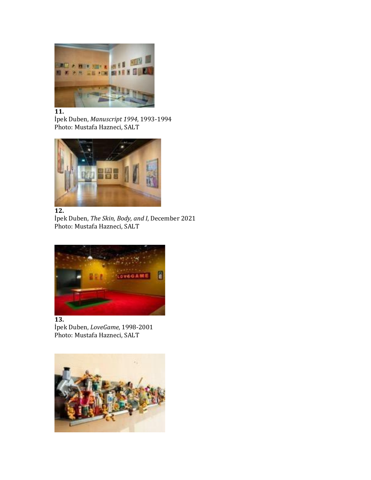

İpek Duben, *Manuscript 1994*, 1993-1994 Photo: Mustafa Hazneci, SALT





İpek Duben, *The Skin, Body, and I*, December 2021 Photo: Mustafa Hazneci, SALT



#### **13.**

İpek Duben, *LoveGame*, 1998-2001 Photo: Mustafa Hazneci, SALT